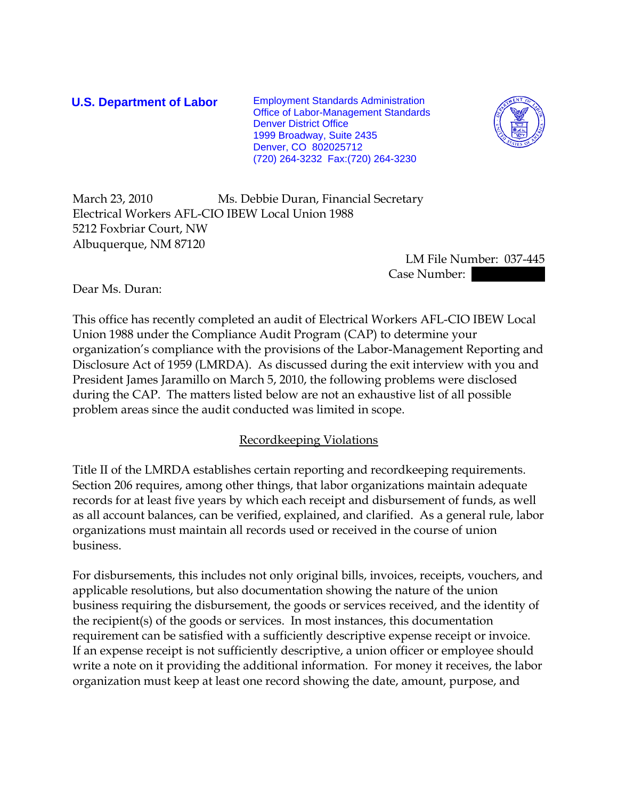**U.S. Department of Labor** Employment Standards Administration Office of Labor-Management Standards Denver District Office 1999 Broadway, Suite 2435 Denver, CO 802025712 (720) 264-3232 Fax:(720) 264-3230



March 23, 2010 Ms. Debbie Duran, Financial Secretary Electrical Workers AFL-CIO IBEW Local Union 1988 5212 Foxbriar Court, NW Albuquerque, NM 87120

 LM File Number: 037-445 Case Number:  $\blacksquare$ 

Dear Ms. Duran:

This office has recently completed an audit of Electrical Workers AFL-CIO IBEW Local Union 1988 under the Compliance Audit Program (CAP) to determine your organization's compliance with the provisions of the Labor-Management Reporting and Disclosure Act of 1959 (LMRDA). As discussed during the exit interview with you and President James Jaramillo on March 5, 2010, the following problems were disclosed during the CAP. The matters listed below are not an exhaustive list of all possible problem areas since the audit conducted was limited in scope.

## Recordkeeping Violations

Title II of the LMRDA establishes certain reporting and recordkeeping requirements. Section 206 requires, among other things, that labor organizations maintain adequate records for at least five years by which each receipt and disbursement of funds, as well as all account balances, can be verified, explained, and clarified. As a general rule, labor organizations must maintain all records used or received in the course of union business.

For disbursements, this includes not only original bills, invoices, receipts, vouchers, and applicable resolutions, but also documentation showing the nature of the union business requiring the disbursement, the goods or services received, and the identity of the recipient(s) of the goods or services. In most instances, this documentation requirement can be satisfied with a sufficiently descriptive expense receipt or invoice. If an expense receipt is not sufficiently descriptive, a union officer or employee should write a note on it providing the additional information. For money it receives, the labor organization must keep at least one record showing the date, amount, purpose, and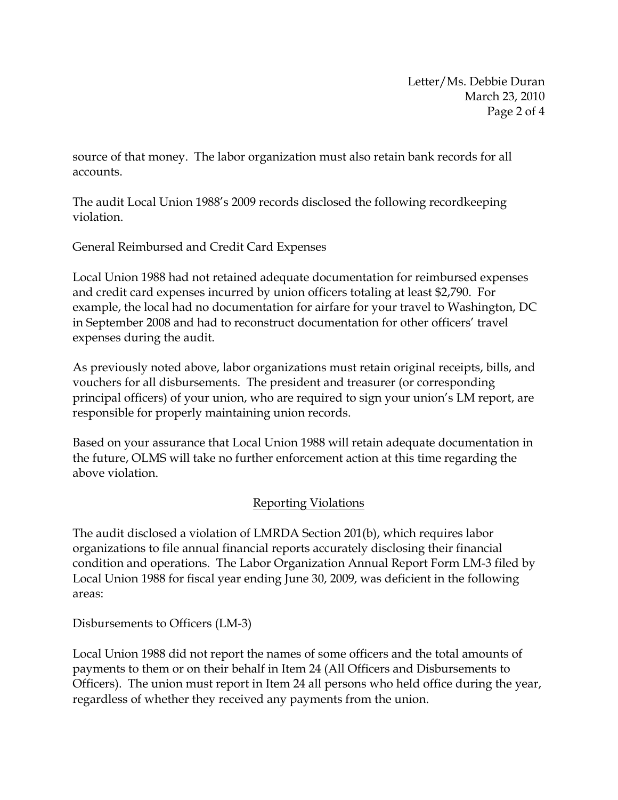Letter/Ms. Debbie Duran March 23, 2010 Page 2 of 4

source of that money. The labor organization must also retain bank records for all accounts.

The audit Local Union 1988's 2009 records disclosed the following recordkeeping violation.

General Reimbursed and Credit Card Expenses

Local Union 1988 had not retained adequate documentation for reimbursed expenses and credit card expenses incurred by union officers totaling at least \$2,790. For example, the local had no documentation for airfare for your travel to Washington, DC in September 2008 and had to reconstruct documentation for other officers' travel expenses during the audit.

As previously noted above, labor organizations must retain original receipts, bills, and vouchers for all disbursements. The president and treasurer (or corresponding principal officers) of your union, who are required to sign your union's LM report, are responsible for properly maintaining union records.

Based on your assurance that Local Union 1988 will retain adequate documentation in the future, OLMS will take no further enforcement action at this time regarding the above violation.

## Reporting Violations

The audit disclosed a violation of LMRDA Section 201(b), which requires labor organizations to file annual financial reports accurately disclosing their financial condition and operations. The Labor Organization Annual Report Form LM-3 filed by Local Union 1988 for fiscal year ending June 30, 2009, was deficient in the following areas:

Disbursements to Officers (LM-3)

Local Union 1988 did not report the names of some officers and the total amounts of payments to them or on their behalf in Item 24 (All Officers and Disbursements to Officers). The union must report in Item 24 all persons who held office during the year, regardless of whether they received any payments from the union.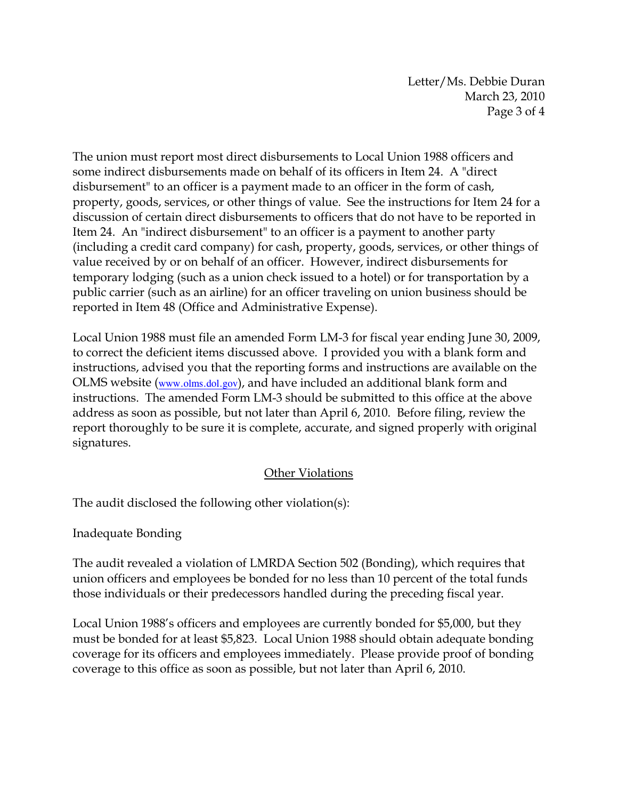Letter/Ms. Debbie Duran March 23, 2010 Page 3 of 4

The union must report most direct disbursements to Local Union 1988 officers and some indirect disbursements made on behalf of its officers in Item 24. A "direct disbursement" to an officer is a payment made to an officer in the form of cash, property, goods, services, or other things of value. See the instructions for Item 24 for a discussion of certain direct disbursements to officers that do not have to be reported in Item 24. An "indirect disbursement" to an officer is a payment to another party (including a credit card company) for cash, property, goods, services, or other things of value received by or on behalf of an officer. However, indirect disbursements for temporary lodging (such as a union check issued to a hotel) or for transportation by a public carrier (such as an airline) for an officer traveling on union business should be reported in Item 48 (Office and Administrative Expense).

Local Union 1988 must file an amended Form LM-3 for fiscal year ending June 30, 2009, to correct the deficient items discussed above. I provided you with a blank form and instructions, advised you that the reporting forms and instructions are available on the OLMS website (www.olms.dol.gov), and have included an additional blank form and instructions. The amended Form LM-3 should be submitted to this office at the above address as soon as possible, but not later than April 6, 2010. Before filing, review the report thoroughly to be sure it is complete, accurate, and signed properly with original signatures.

## Other Violations

The audit disclosed the following other violation(s):

Inadequate Bonding

The audit revealed a violation of LMRDA Section 502 (Bonding), which requires that union officers and employees be bonded for no less than 10 percent of the total funds those individuals or their predecessors handled during the preceding fiscal year.

Local Union 1988's officers and employees are currently bonded for \$5,000, but they must be bonded for at least \$5,823. Local Union 1988 should obtain adequate bonding coverage for its officers and employees immediately. Please provide proof of bonding coverage to this office as soon as possible, but not later than April 6, 2010.